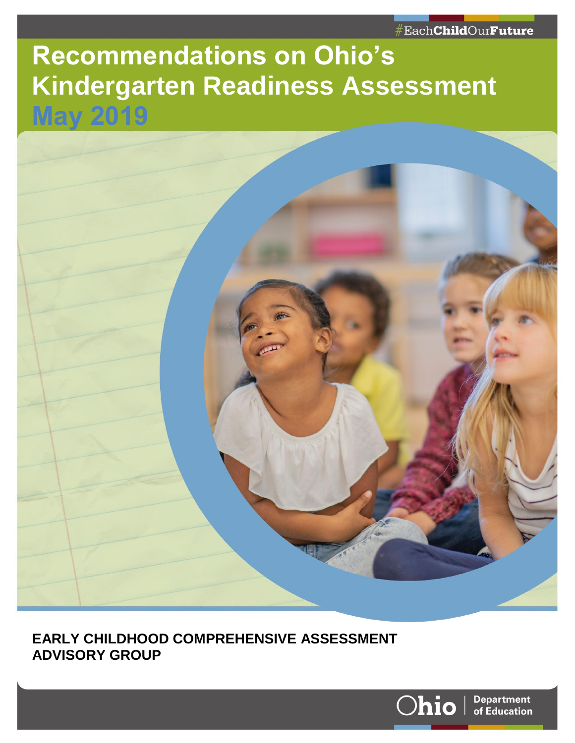# **Recommendations on Ohio's Kindergarten Readiness Assessment**



**EARLY CHILDHOOD COMPREHENSIVE ASSESSMENT ADVISORY GROUP CENTER NAME – ARIAL NARROW 10 ALL CAPS**

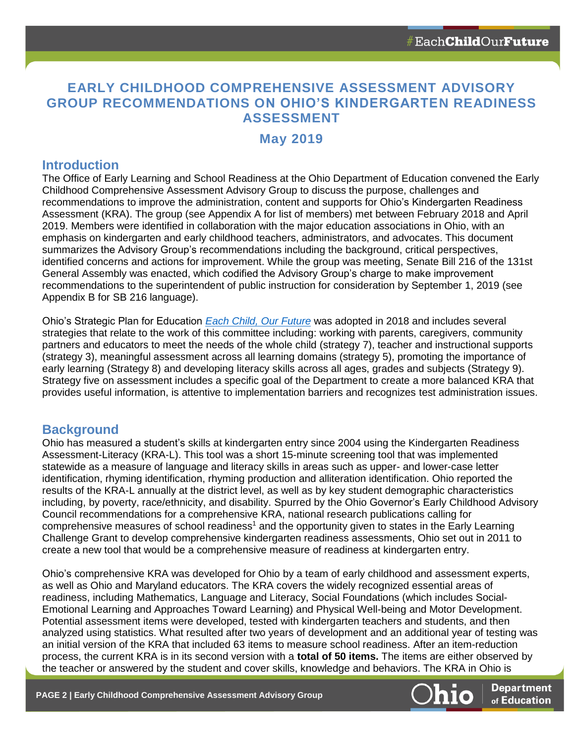# **EARLY CHILDHOOD COMPREHENSIVE ASSESSMENT ADVISORY GROUP RECOMMENDATIONS ON OHIO'S KINDERGARTEN READINESS ASSESSMENT**

## **May 2019**

#### **Introduction**

The Office of Early Learning and School Readiness at the Ohio Department of Education convened the Early Childhood Comprehensive Assessment Advisory Group to discuss the purpose, challenges and recommendations to improve the administration, content and supports for Ohio's Kindergarten Readiness Assessment (KRA). The group (see Appendix A for list of members) met between February 2018 and April 2019. Members were identified in collaboration with the major education associations in Ohio, with an emphasis on kindergarten and early childhood teachers, administrators, and advocates. This document summarizes the Advisory Group's recommendations including the background, critical perspectives, identified concerns and actions for improvement. While the group was meeting, Senate Bill 216 of the 131st General Assembly was enacted, which codified the Advisory Group's charge to make improvement recommendations to the superintendent of public instruction for consideration by September 1, 2019 (see Appendix B for SB 216 language).

Ohio's Strategic Plan for Education *[Each Child, Our Future](http://education.ohio.gov/About/Ohios-Strategic-Plan-for-Education)* was adopted in 2018 and includes several strategies that relate to the work of this committee including: working with parents, caregivers, community partners and educators to meet the needs of the whole child (strategy 7), teacher and instructional supports (strategy 3), meaningful assessment across all learning domains (strategy 5), promoting the importance of early learning (Strategy 8) and developing literacy skills across all ages, grades and subjects (Strategy 9). Strategy five on assessment includes a specific goal of the Department to create a more balanced KRA that provides useful information, is attentive to implementation barriers and recognizes test administration issues.

#### **Background**

Ohio has measured a student's skills at kindergarten entry since 2004 using the Kindergarten Readiness Assessment-Literacy (KRA-L). This tool was a short 15-minute screening tool that was implemented statewide as a measure of language and literacy skills in areas such as upper- and lower-case letter identification, rhyming identification, rhyming production and alliteration identification. Ohio reported the results of the KRA-L annually at the district level, as well as by key student demographic characteristics including, by poverty, race/ethnicity, and disability. Spurred by the Ohio Governor's Early Childhood Advisory Council recommendations for a comprehensive KRA, national research publications calling for comprehensive measures of school readiness<sup>1</sup> and the opportunity given to states in the Early Learning Challenge Grant to develop comprehensive kindergarten readiness assessments, Ohio set out in 2011 to create a new tool that would be a comprehensive measure of readiness at kindergarten entry.

Ohio's comprehensive KRA was developed for Ohio by a team of early childhood and assessment experts, as well as Ohio and Maryland educators. The KRA covers the widely recognized essential areas of readiness, including Mathematics, Language and Literacy, Social Foundations (which includes Social-Emotional Learning and Approaches Toward Learning) and Physical Well-being and Motor Development. Potential assessment items were developed, tested with kindergarten teachers and students, and then analyzed using statistics. What resulted after two years of development and an additional year of testing was an initial version of the KRA that included 63 items to measure school readiness. After an item-reduction process, the current KRA is in its second version with a **total of 50 items.** The items are either observed by the teacher or answered by the student and cover skills, knowledge and behaviors. The KRA in Ohio is

**PAGE 2 | Early Childhood Comprehensive Assessment Advisory Group**



**Department** of Education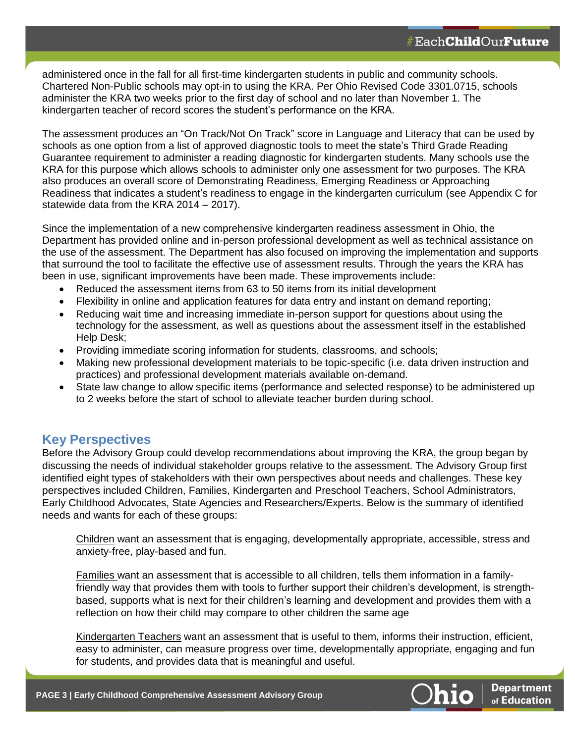administered once in the fall for all first-time kindergarten students in public and community schools. Chartered Non-Public schools may opt-in to using the KRA. Per Ohio Revised Code 3301.0715, schools administer the KRA two weeks prior to the first day of school and no later than November 1. The kindergarten teacher of record scores the student's performance on the KRA.

The assessment produces an "On Track/Not On Track" score in Language and Literacy that can be used by schools as one option from a list of approved diagnostic tools to meet the state's Third Grade Reading Guarantee requirement to administer a reading diagnostic for kindergarten students. Many schools use the KRA for this purpose which allows schools to administer only one assessment for two purposes. The KRA also produces an overall score of Demonstrating Readiness, Emerging Readiness or Approaching Readiness that indicates a student's readiness to engage in the kindergarten curriculum (see Appendix C for statewide data from the KRA 2014 – 2017).

Since the implementation of a new comprehensive kindergarten readiness assessment in Ohio, the Department has provided online and in-person professional development as well as technical assistance on the use of the assessment. The Department has also focused on improving the implementation and supports that surround the tool to facilitate the effective use of assessment results. Through the years the KRA has been in use, significant improvements have been made. These improvements include:

- Reduced the assessment items from 63 to 50 items from its initial development
- Flexibility in online and application features for data entry and instant on demand reporting;
- Reducing wait time and increasing immediate in-person support for questions about using the technology for the assessment, as well as questions about the assessment itself in the established Help Desk;
- Providing immediate scoring information for students, classrooms, and schools;
- Making new professional development materials to be topic-specific (i.e. data driven instruction and practices) and professional development materials available on-demand.
- State law change to allow specific items (performance and selected response) to be administered up to 2 weeks before the start of school to alleviate teacher burden during school.

## **Key Perspectives**

Before the Advisory Group could develop recommendations about improving the KRA, the group began by discussing the needs of individual stakeholder groups relative to the assessment. The Advisory Group first identified eight types of stakeholders with their own perspectives about needs and challenges. These key perspectives included Children, Families, Kindergarten and Preschool Teachers, School Administrators, Early Childhood Advocates, State Agencies and Researchers/Experts. Below is the summary of identified needs and wants for each of these groups:

Children want an assessment that is engaging, developmentally appropriate, accessible, stress and anxiety-free, play-based and fun.

Families want an assessment that is accessible to all children, tells them information in a familyfriendly way that provides them with tools to further support their children's development, is strengthbased, supports what is next for their children's learning and development and provides them with a reflection on how their child may compare to other children the same age

Kindergarten Teachers want an assessment that is useful to them, informs their instruction, efficient, easy to administer, can measure progress over time, developmentally appropriate, engaging and fun for students, and provides data that is meaningful and useful.

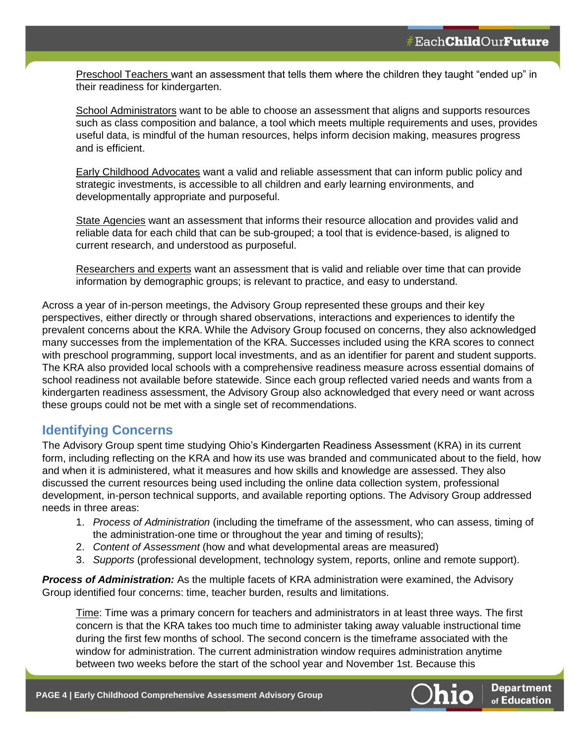Preschool Teachers want an assessment that tells them where the children they taught "ended up" in their readiness for kindergarten.

School Administrators want to be able to choose an assessment that aligns and supports resources such as class composition and balance, a tool which meets multiple requirements and uses, provides useful data, is mindful of the human resources, helps inform decision making, measures progress and is efficient.

Early Childhood Advocates want a valid and reliable assessment that can inform public policy and strategic investments, is accessible to all children and early learning environments, and developmentally appropriate and purposeful.

State Agencies want an assessment that informs their resource allocation and provides valid and reliable data for each child that can be sub-grouped; a tool that is evidence-based, is aligned to current research, and understood as purposeful.

Researchers and experts want an assessment that is valid and reliable over time that can provide information by demographic groups; is relevant to practice, and easy to understand.

Across a year of in-person meetings, the Advisory Group represented these groups and their key perspectives, either directly or through shared observations, interactions and experiences to identify the prevalent concerns about the KRA. While the Advisory Group focused on concerns, they also acknowledged many successes from the implementation of the KRA. Successes included using the KRA scores to connect with preschool programming, support local investments, and as an identifier for parent and student supports. The KRA also provided local schools with a comprehensive readiness measure across essential domains of school readiness not available before statewide. Since each group reflected varied needs and wants from a kindergarten readiness assessment, the Advisory Group also acknowledged that every need or want across these groups could not be met with a single set of recommendations.

## **Identifying Concerns**

The Advisory Group spent time studying Ohio's Kindergarten Readiness Assessment (KRA) in its current form, including reflecting on the KRA and how its use was branded and communicated about to the field, how and when it is administered, what it measures and how skills and knowledge are assessed. They also discussed the current resources being used including the online data collection system, professional development, in-person technical supports, and available reporting options. The Advisory Group addressed needs in three areas:

- 1. *Process of Administration* (including the timeframe of the assessment, who can assess, timing of the administration-one time or throughout the year and timing of results);
- 2. *Content of Assessment* (how and what developmental areas are measured)
- 3. *Supports* (professional development, technology system, reports, online and remote support).

*Process of Administration:* As the multiple facets of KRA administration were examined, the Advisory Group identified four concerns: time, teacher burden, results and limitations.

Time: Time was a primary concern for teachers and administrators in at least three ways. The first concern is that the KRA takes too much time to administer taking away valuable instructional time during the first few months of school. The second concern is the timeframe associated with the window for administration. The current administration window requires administration anytime between two weeks before the start of the school year and November 1st. Because this

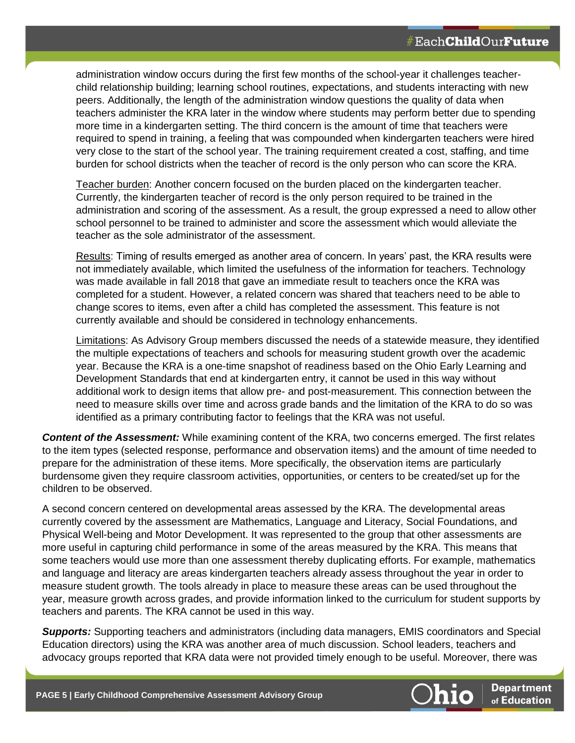administration window occurs during the first few months of the school-year it challenges teacherchild relationship building; learning school routines, expectations, and students interacting with new peers. Additionally, the length of the administration window questions the quality of data when teachers administer the KRA later in the window where students may perform better due to spending more time in a kindergarten setting. The third concern is the amount of time that teachers were required to spend in training, a feeling that was compounded when kindergarten teachers were hired very close to the start of the school year. The training requirement created a cost, staffing, and time burden for school districts when the teacher of record is the only person who can score the KRA.

Teacher burden: Another concern focused on the burden placed on the kindergarten teacher. Currently, the kindergarten teacher of record is the only person required to be trained in the administration and scoring of the assessment. As a result, the group expressed a need to allow other school personnel to be trained to administer and score the assessment which would alleviate the teacher as the sole administrator of the assessment.

Results: Timing of results emerged as another area of concern. In years' past, the KRA results were not immediately available, which limited the usefulness of the information for teachers. Technology was made available in fall 2018 that gave an immediate result to teachers once the KRA was completed for a student. However, a related concern was shared that teachers need to be able to change scores to items, even after a child has completed the assessment. This feature is not currently available and should be considered in technology enhancements.

Limitations: As Advisory Group members discussed the needs of a statewide measure, they identified the multiple expectations of teachers and schools for measuring student growth over the academic year. Because the KRA is a one-time snapshot of readiness based on the Ohio Early Learning and Development Standards that end at kindergarten entry, it cannot be used in this way without additional work to design items that allow pre- and post-measurement. This connection between the need to measure skills over time and across grade bands and the limitation of the KRA to do so was identified as a primary contributing factor to feelings that the KRA was not useful.

*Content of the Assessment:* While examining content of the KRA, two concerns emerged. The first relates to the item types (selected response, performance and observation items) and the amount of time needed to prepare for the administration of these items. More specifically, the observation items are particularly burdensome given they require classroom activities, opportunities, or centers to be created/set up for the children to be observed.

A second concern centered on developmental areas assessed by the KRA. The developmental areas currently covered by the assessment are Mathematics, Language and Literacy, Social Foundations, and Physical Well-being and Motor Development. It was represented to the group that other assessments are more useful in capturing child performance in some of the areas measured by the KRA. This means that some teachers would use more than one assessment thereby duplicating efforts. For example, mathematics and language and literacy are areas kindergarten teachers already assess throughout the year in order to measure student growth. The tools already in place to measure these areas can be used throughout the year, measure growth across grades, and provide information linked to the curriculum for student supports by teachers and parents. The KRA cannot be used in this way.

*Supports:* Supporting teachers and administrators (including data managers, EMIS coordinators and Special Education directors) using the KRA was another area of much discussion. School leaders, teachers and advocacy groups reported that KRA data were not provided timely enough to be useful. Moreover, there was

**PAGE 5 | Early Childhood Comprehensive Assessment Advisory Group**



**Department** of Education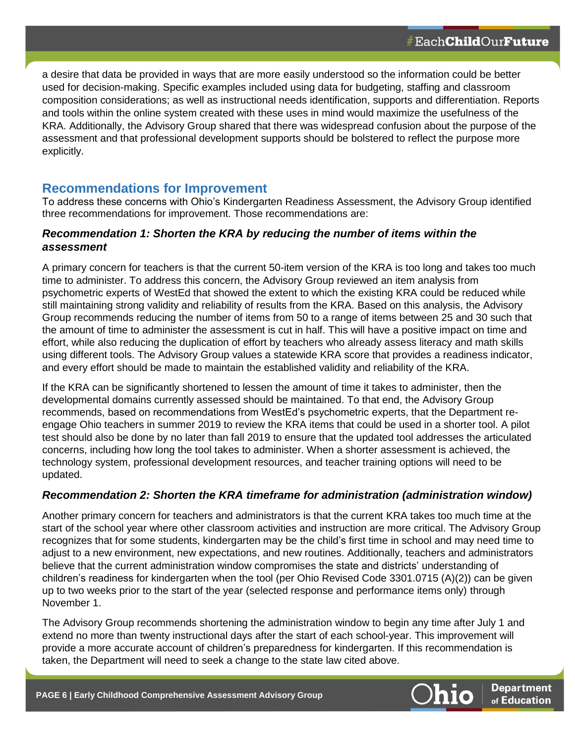a desire that data be provided in ways that are more easily understood so the information could be better used for decision-making. Specific examples included using data for budgeting, staffing and classroom composition considerations; as well as instructional needs identification, supports and differentiation. Reports and tools within the online system created with these uses in mind would maximize the usefulness of the KRA. Additionally, the Advisory Group shared that there was widespread confusion about the purpose of the assessment and that professional development supports should be bolstered to reflect the purpose more explicitly.

#### **Recommendations for Improvement**

To address these concerns with Ohio's Kindergarten Readiness Assessment, the Advisory Group identified three recommendations for improvement. Those recommendations are:

#### *Recommendation 1: Shorten the KRA by reducing the number of items within the assessment*

A primary concern for teachers is that the current 50-item version of the KRA is too long and takes too much time to administer. To address this concern, the Advisory Group reviewed an item analysis from psychometric experts of WestEd that showed the extent to which the existing KRA could be reduced while still maintaining strong validity and reliability of results from the KRA. Based on this analysis, the Advisory Group recommends reducing the number of items from 50 to a range of items between 25 and 30 such that the amount of time to administer the assessment is cut in half. This will have a positive impact on time and effort, while also reducing the duplication of effort by teachers who already assess literacy and math skills using different tools. The Advisory Group values a statewide KRA score that provides a readiness indicator, and every effort should be made to maintain the established validity and reliability of the KRA.

If the KRA can be significantly shortened to lessen the amount of time it takes to administer, then the developmental domains currently assessed should be maintained. To that end, the Advisory Group recommends, based on recommendations from WestEd's psychometric experts, that the Department reengage Ohio teachers in summer 2019 to review the KRA items that could be used in a shorter tool. A pilot test should also be done by no later than fall 2019 to ensure that the updated tool addresses the articulated concerns, including how long the tool takes to administer. When a shorter assessment is achieved, the technology system, professional development resources, and teacher training options will need to be updated.

#### *Recommendation 2: Shorten the KRA timeframe for administration (administration window)*

Another primary concern for teachers and administrators is that the current KRA takes too much time at the start of the school year where other classroom activities and instruction are more critical. The Advisory Group recognizes that for some students, kindergarten may be the child's first time in school and may need time to adjust to a new environment, new expectations, and new routines. Additionally, teachers and administrators believe that the current administration window compromises the state and districts' understanding of children's readiness for kindergarten when the tool (per Ohio Revised Code 3301.0715 (A)(2)) can be given up to two weeks prior to the start of the year (selected response and performance items only) through November 1.

The Advisory Group recommends shortening the administration window to begin any time after July 1 and extend no more than twenty instructional days after the start of each school-year. This improvement will provide a more accurate account of children's preparedness for kindergarten. If this recommendation is taken, the Department will need to seek a change to the state law cited above.

**PAGE 6 | Early Childhood Comprehensive Assessment Advisory Group**



**Department** of Education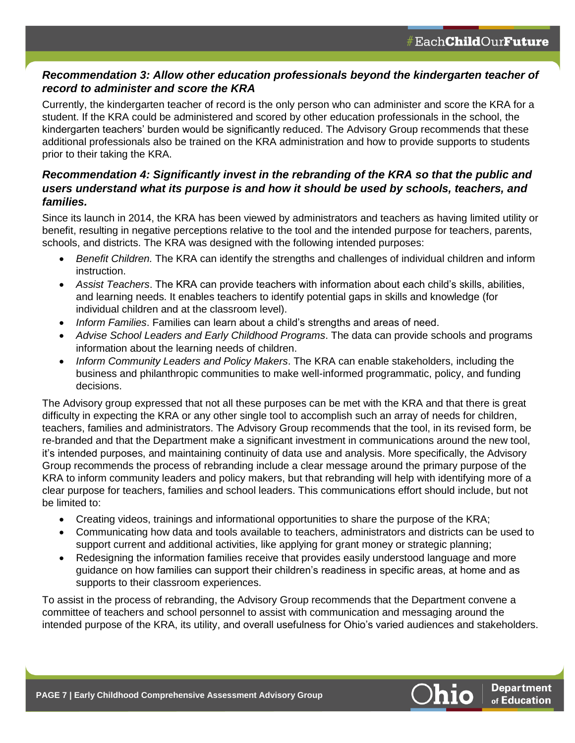### *Recommendation 3: Allow other education professionals beyond the kindergarten teacher of record to administer and score the KRA*

Currently, the kindergarten teacher of record is the only person who can administer and score the KRA for a student. If the KRA could be administered and scored by other education professionals in the school, the kindergarten teachers' burden would be significantly reduced. The Advisory Group recommends that these additional professionals also be trained on the KRA administration and how to provide supports to students prior to their taking the KRA.

### *Recommendation 4: Significantly invest in the rebranding of the KRA so that the public and users understand what its purpose is and how it should be used by schools, teachers, and families.*

Since its launch in 2014, the KRA has been viewed by administrators and teachers as having limited utility or benefit, resulting in negative perceptions relative to the tool and the intended purpose for teachers, parents, schools, and districts. The KRA was designed with the following intended purposes:

- *Benefit Children.* The KRA can identify the strengths and challenges of individual children and inform instruction.
- *Assist Teachers*. The KRA can provide teachers with information about each child's skills, abilities, and learning needs. It enables teachers to identify potential gaps in skills and knowledge (for individual children and at the classroom level).
- *Inform Families*. Families can learn about a child's strengths and areas of need.
- *Advise School Leaders and Early Childhood Programs*. The data can provide schools and programs information about the learning needs of children.
- *Inform Community Leaders and Policy Makers*. The KRA can enable stakeholders, including the business and philanthropic communities to make well-informed programmatic, policy, and funding decisions.

The Advisory group expressed that not all these purposes can be met with the KRA and that there is great difficulty in expecting the KRA or any other single tool to accomplish such an array of needs for children, teachers, families and administrators. The Advisory Group recommends that the tool, in its revised form, be re-branded and that the Department make a significant investment in communications around the new tool, it's intended purposes, and maintaining continuity of data use and analysis. More specifically, the Advisory Group recommends the process of rebranding include a clear message around the primary purpose of the KRA to inform community leaders and policy makers, but that rebranding will help with identifying more of a clear purpose for teachers, families and school leaders. This communications effort should include, but not be limited to:

- Creating videos, trainings and informational opportunities to share the purpose of the KRA;
- Communicating how data and tools available to teachers, administrators and districts can be used to support current and additional activities, like applying for grant money or strategic planning;
- Redesigning the information families receive that provides easily understood language and more guidance on how families can support their children's readiness in specific areas, at home and as supports to their classroom experiences.

To assist in the process of rebranding, the Advisory Group recommends that the Department convene a committee of teachers and school personnel to assist with communication and messaging around the intended purpose of the KRA, its utility, and overall usefulness for Ohio's varied audiences and stakeholders.

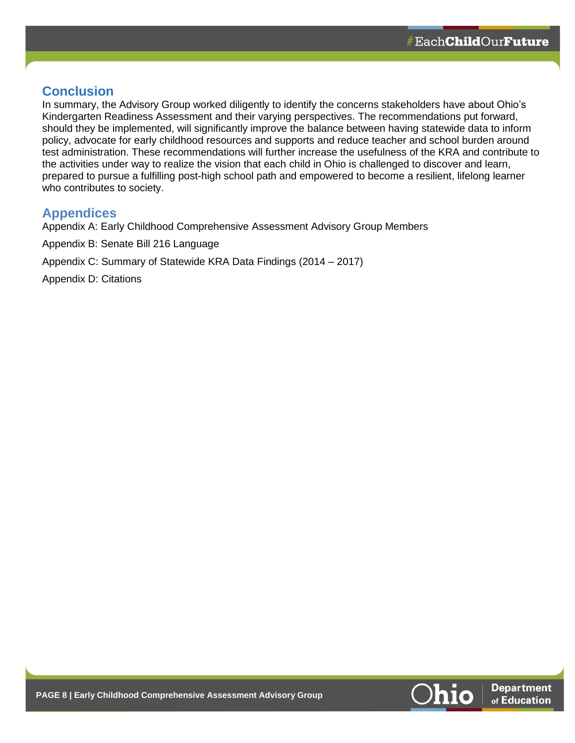## **Conclusion**

In summary, the Advisory Group worked diligently to identify the concerns stakeholders have about Ohio's Kindergarten Readiness Assessment and their varying perspectives. The recommendations put forward, should they be implemented, will significantly improve the balance between having statewide data to inform policy, advocate for early childhood resources and supports and reduce teacher and school burden around test administration. These recommendations will further increase the usefulness of the KRA and contribute to the activities under way to realize the vision that each child in Ohio is challenged to discover and learn, prepared to pursue a fulfilling post-high school path and empowered to become a resilient, lifelong learner who contributes to society.

## **Appendices**

Appendix A: Early Childhood Comprehensive Assessment Advisory Group Members

Appendix B: Senate Bill 216 Language

Appendix C: Summary of Statewide KRA Data Findings (2014 – 2017)

Appendix D: Citations

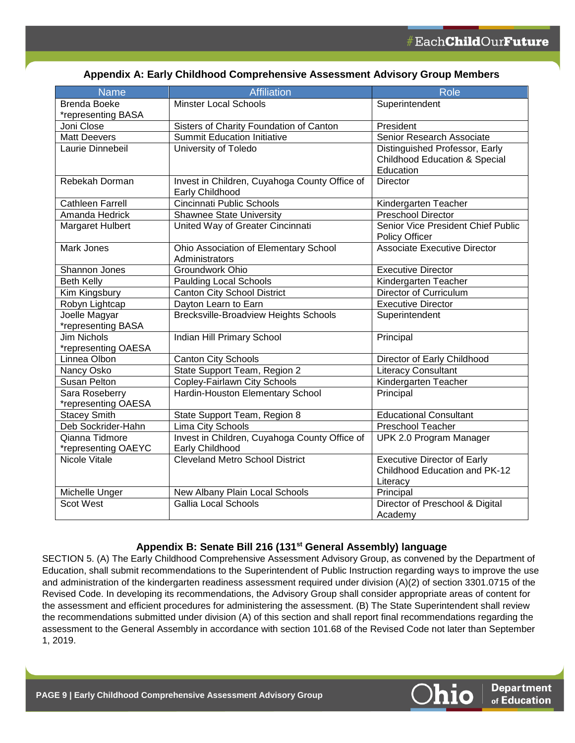|  |  |  | Appendix A: Early Childhood Comprehensive Assessment Advisory Group Members |  |  |
|--|--|--|-----------------------------------------------------------------------------|--|--|
|--|--|--|-----------------------------------------------------------------------------|--|--|

| <b>Name</b>                     | <b>Affiliation</b>                                                   | <b>Role</b>                              |
|---------------------------------|----------------------------------------------------------------------|------------------------------------------|
| <b>Brenda Boeke</b>             | <b>Minster Local Schools</b>                                         | Superintendent                           |
| *representing BASA              |                                                                      |                                          |
| Joni Close                      | Sisters of Charity Foundation of Canton                              | President                                |
| <b>Matt Deevers</b>             | Summit Education Initiative                                          | Senior Research Associate                |
| Laurie Dinnebeil                | University of Toledo                                                 | Distinguished Professor, Early           |
|                                 |                                                                      | <b>Childhood Education &amp; Special</b> |
|                                 |                                                                      | Education                                |
| Rebekah Dorman                  | Invest in Children, Cuyahoga County Office of                        | <b>Director</b>                          |
|                                 | Early Childhood                                                      |                                          |
| <b>Cathleen Farrell</b>         | Cincinnati Public Schools                                            | Kindergarten Teacher                     |
| Amanda Hedrick                  | <b>Shawnee State University</b>                                      | <b>Preschool Director</b>                |
| Margaret Hulbert                | United Way of Greater Cincinnati                                     | Senior Vice President Chief Public       |
|                                 |                                                                      | Policy Officer                           |
| Mark Jones                      | Ohio Association of Elementary School                                | <b>Associate Executive Director</b>      |
|                                 | Administrators                                                       |                                          |
| Shannon Jones                   | Groundwork Ohio                                                      | <b>Executive Director</b>                |
| <b>Beth Kelly</b>               | <b>Paulding Local Schools</b>                                        | Kindergarten Teacher                     |
| Kim Kingsbury                   | Canton City School District                                          | Director of Curriculum                   |
| Robyn Lightcap<br>Joelle Magyar | Dayton Learn to Earn<br><b>Brecksville-Broadview Heights Schools</b> | <b>Executive Director</b>                |
| *representing BASA              |                                                                      | Superintendent                           |
| <b>Jim Nichols</b>              | Indian Hill Primary School                                           | Principal                                |
| *representing OAESA             |                                                                      |                                          |
| Linnea Olbon                    | <b>Canton City Schools</b>                                           | Director of Early Childhood              |
| Nancy Osko                      | State Support Team, Region 2                                         | <b>Literacy Consultant</b>               |
| Susan Pelton                    | Copley-Fairlawn City Schools                                         | Kindergarten Teacher                     |
| Sara Roseberry                  | Hardin-Houston Elementary School                                     | Principal                                |
| *representing OAESA             |                                                                      |                                          |
| <b>Stacey Smith</b>             | State Support Team, Region 8                                         | <b>Educational Consultant</b>            |
| Deb Sockrider-Hahn              | <b>Lima City Schools</b>                                             | <b>Preschool Teacher</b>                 |
| Qianna Tidmore                  | Invest in Children, Cuyahoga County Office of                        | UPK 2.0 Program Manager                  |
| *representing OAEYC             | Early Childhood                                                      |                                          |
| Nicole Vitale                   | <b>Cleveland Metro School District</b>                               | <b>Executive Director of Early</b>       |
|                                 |                                                                      | Childhood Education and PK-12            |
|                                 |                                                                      | Literacy                                 |
| Michelle Unger                  | New Albany Plain Local Schools                                       | Principal                                |
| <b>Scot West</b>                | <b>Gallia Local Schools</b>                                          | Director of Preschool & Digital          |
|                                 |                                                                      | Academy                                  |

#### **Appendix B: Senate Bill 216 (131st General Assembly) language**

SECTION 5. (A) The Early Childhood Comprehensive Assessment Advisory Group, as convened by the Department of Education, shall submit recommendations to the Superintendent of Public Instruction regarding ways to improve the use and administration of the kindergarten readiness assessment required under division (A)(2) of section 3301.0715 of the Revised Code. In developing its recommendations, the Advisory Group shall consider appropriate areas of content for the assessment and efficient procedures for administering the assessment. (B) The State Superintendent shall review the recommendations submitted under division (A) of this section and shall report final recommendations regarding the assessment to the General Assembly in accordance with section 101.68 of the Revised Code not later than September 1, 2019.

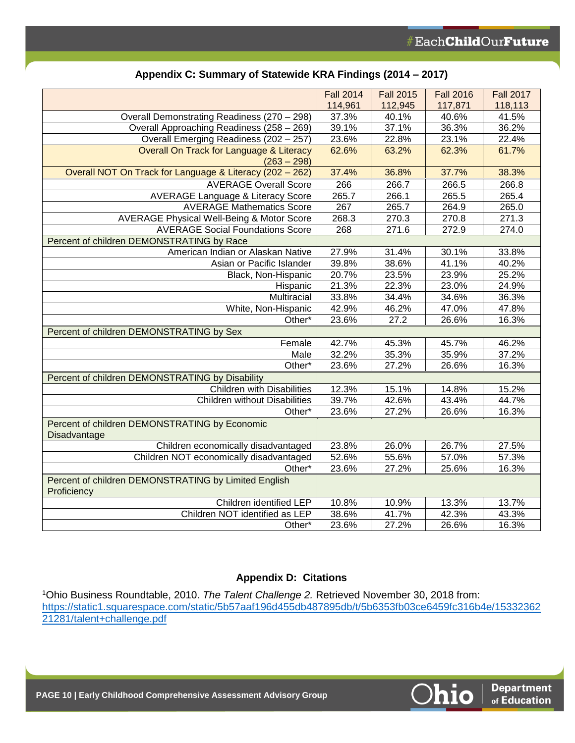| 114,961<br>112,945<br>117,871<br>118,113<br>37.3%<br>40.1%<br>40.6%<br>41.5%<br>Overall Demonstrating Readiness (270 - 298)<br>37.1%<br>39.1%<br>36.3%<br>36.2%<br>Overall Approaching Readiness (258 - 269)<br>23.1%<br>Overall Emerging Readiness (202 - 257)<br>23.6%<br>22.8%<br>22.4%<br>62.6%<br>63.2%<br>62.3%<br>61.7%<br>Overall On Track for Language & Literacy<br>$(263 - 298)$<br>Overall NOT On Track for Language & Literacy (202 - 262)<br>38.3%<br>37.4%<br>36.8%<br>37.7%<br><b>AVERAGE Overall Score</b><br>266<br>266.7<br>266.5<br>266.8<br><b>AVERAGE Language &amp; Literacy Score</b><br>265.7<br>266.1<br>265.5<br>265.4<br>267<br><b>AVERAGE Mathematics Score</b><br>265.7<br>265.0<br>264.9<br>268.3<br><b>AVERAGE Physical Well-Being &amp; Motor Score</b><br>270.3<br>270.8<br>271.3<br><b>AVERAGE Social Foundations Score</b><br>268<br>271.6<br>272.9<br>274.0<br>Percent of children DEMONSTRATING by Race<br>American Indian or Alaskan Native<br>27.9%<br>31.4%<br>30.1%<br>33.8%<br>41.1%<br>40.2%<br>Asian or Pacific Islander<br>39.8%<br>38.6%<br>20.7%<br>25.2%<br>Black, Non-Hispanic<br>23.5%<br>23.9%<br>21.3%<br>22.3%<br>23.0%<br>24.9%<br>Hispanic<br>Multiracial<br>33.8%<br>34.4%<br>34.6%<br>36.3%<br>White, Non-Hispanic<br>42.9%<br>46.2%<br>47.0%<br>47.8%<br>23.6%<br>27.2<br>26.6%<br>16.3%<br>Other*<br>Percent of children DEMONSTRATING by Sex<br>42.7%<br>45.7%<br>46.2%<br>Female<br>45.3%<br>32.2%<br>35.3%<br>35.9%<br>37.2%<br>Male |
|-----------------------------------------------------------------------------------------------------------------------------------------------------------------------------------------------------------------------------------------------------------------------------------------------------------------------------------------------------------------------------------------------------------------------------------------------------------------------------------------------------------------------------------------------------------------------------------------------------------------------------------------------------------------------------------------------------------------------------------------------------------------------------------------------------------------------------------------------------------------------------------------------------------------------------------------------------------------------------------------------------------------------------------------------------------------------------------------------------------------------------------------------------------------------------------------------------------------------------------------------------------------------------------------------------------------------------------------------------------------------------------------------------------------------------------------------------------------------------------------------------|
|                                                                                                                                                                                                                                                                                                                                                                                                                                                                                                                                                                                                                                                                                                                                                                                                                                                                                                                                                                                                                                                                                                                                                                                                                                                                                                                                                                                                                                                                                                     |
|                                                                                                                                                                                                                                                                                                                                                                                                                                                                                                                                                                                                                                                                                                                                                                                                                                                                                                                                                                                                                                                                                                                                                                                                                                                                                                                                                                                                                                                                                                     |
|                                                                                                                                                                                                                                                                                                                                                                                                                                                                                                                                                                                                                                                                                                                                                                                                                                                                                                                                                                                                                                                                                                                                                                                                                                                                                                                                                                                                                                                                                                     |
|                                                                                                                                                                                                                                                                                                                                                                                                                                                                                                                                                                                                                                                                                                                                                                                                                                                                                                                                                                                                                                                                                                                                                                                                                                                                                                                                                                                                                                                                                                     |
|                                                                                                                                                                                                                                                                                                                                                                                                                                                                                                                                                                                                                                                                                                                                                                                                                                                                                                                                                                                                                                                                                                                                                                                                                                                                                                                                                                                                                                                                                                     |
|                                                                                                                                                                                                                                                                                                                                                                                                                                                                                                                                                                                                                                                                                                                                                                                                                                                                                                                                                                                                                                                                                                                                                                                                                                                                                                                                                                                                                                                                                                     |
|                                                                                                                                                                                                                                                                                                                                                                                                                                                                                                                                                                                                                                                                                                                                                                                                                                                                                                                                                                                                                                                                                                                                                                                                                                                                                                                                                                                                                                                                                                     |
|                                                                                                                                                                                                                                                                                                                                                                                                                                                                                                                                                                                                                                                                                                                                                                                                                                                                                                                                                                                                                                                                                                                                                                                                                                                                                                                                                                                                                                                                                                     |
|                                                                                                                                                                                                                                                                                                                                                                                                                                                                                                                                                                                                                                                                                                                                                                                                                                                                                                                                                                                                                                                                                                                                                                                                                                                                                                                                                                                                                                                                                                     |
|                                                                                                                                                                                                                                                                                                                                                                                                                                                                                                                                                                                                                                                                                                                                                                                                                                                                                                                                                                                                                                                                                                                                                                                                                                                                                                                                                                                                                                                                                                     |
|                                                                                                                                                                                                                                                                                                                                                                                                                                                                                                                                                                                                                                                                                                                                                                                                                                                                                                                                                                                                                                                                                                                                                                                                                                                                                                                                                                                                                                                                                                     |
|                                                                                                                                                                                                                                                                                                                                                                                                                                                                                                                                                                                                                                                                                                                                                                                                                                                                                                                                                                                                                                                                                                                                                                                                                                                                                                                                                                                                                                                                                                     |
|                                                                                                                                                                                                                                                                                                                                                                                                                                                                                                                                                                                                                                                                                                                                                                                                                                                                                                                                                                                                                                                                                                                                                                                                                                                                                                                                                                                                                                                                                                     |
|                                                                                                                                                                                                                                                                                                                                                                                                                                                                                                                                                                                                                                                                                                                                                                                                                                                                                                                                                                                                                                                                                                                                                                                                                                                                                                                                                                                                                                                                                                     |
|                                                                                                                                                                                                                                                                                                                                                                                                                                                                                                                                                                                                                                                                                                                                                                                                                                                                                                                                                                                                                                                                                                                                                                                                                                                                                                                                                                                                                                                                                                     |
|                                                                                                                                                                                                                                                                                                                                                                                                                                                                                                                                                                                                                                                                                                                                                                                                                                                                                                                                                                                                                                                                                                                                                                                                                                                                                                                                                                                                                                                                                                     |
|                                                                                                                                                                                                                                                                                                                                                                                                                                                                                                                                                                                                                                                                                                                                                                                                                                                                                                                                                                                                                                                                                                                                                                                                                                                                                                                                                                                                                                                                                                     |
|                                                                                                                                                                                                                                                                                                                                                                                                                                                                                                                                                                                                                                                                                                                                                                                                                                                                                                                                                                                                                                                                                                                                                                                                                                                                                                                                                                                                                                                                                                     |
|                                                                                                                                                                                                                                                                                                                                                                                                                                                                                                                                                                                                                                                                                                                                                                                                                                                                                                                                                                                                                                                                                                                                                                                                                                                                                                                                                                                                                                                                                                     |
|                                                                                                                                                                                                                                                                                                                                                                                                                                                                                                                                                                                                                                                                                                                                                                                                                                                                                                                                                                                                                                                                                                                                                                                                                                                                                                                                                                                                                                                                                                     |
|                                                                                                                                                                                                                                                                                                                                                                                                                                                                                                                                                                                                                                                                                                                                                                                                                                                                                                                                                                                                                                                                                                                                                                                                                                                                                                                                                                                                                                                                                                     |
|                                                                                                                                                                                                                                                                                                                                                                                                                                                                                                                                                                                                                                                                                                                                                                                                                                                                                                                                                                                                                                                                                                                                                                                                                                                                                                                                                                                                                                                                                                     |
|                                                                                                                                                                                                                                                                                                                                                                                                                                                                                                                                                                                                                                                                                                                                                                                                                                                                                                                                                                                                                                                                                                                                                                                                                                                                                                                                                                                                                                                                                                     |
| Other*<br>27.2%<br>23.6%<br>26.6%<br>16.3%                                                                                                                                                                                                                                                                                                                                                                                                                                                                                                                                                                                                                                                                                                                                                                                                                                                                                                                                                                                                                                                                                                                                                                                                                                                                                                                                                                                                                                                          |
| Percent of children DEMONSTRATING by Disability                                                                                                                                                                                                                                                                                                                                                                                                                                                                                                                                                                                                                                                                                                                                                                                                                                                                                                                                                                                                                                                                                                                                                                                                                                                                                                                                                                                                                                                     |
| <b>Children with Disabilities</b><br>12.3%<br>15.2%<br>15.1%<br>14.8%                                                                                                                                                                                                                                                                                                                                                                                                                                                                                                                                                                                                                                                                                                                                                                                                                                                                                                                                                                                                                                                                                                                                                                                                                                                                                                                                                                                                                               |
| 39.7%<br>42.6%<br>44.7%<br><b>Children without Disabilities</b><br>43.4%                                                                                                                                                                                                                                                                                                                                                                                                                                                                                                                                                                                                                                                                                                                                                                                                                                                                                                                                                                                                                                                                                                                                                                                                                                                                                                                                                                                                                            |
| 23.6%<br>27.2%<br>26.6%<br>16.3%<br>Other*                                                                                                                                                                                                                                                                                                                                                                                                                                                                                                                                                                                                                                                                                                                                                                                                                                                                                                                                                                                                                                                                                                                                                                                                                                                                                                                                                                                                                                                          |
| Percent of children DEMONSTRATING by Economic                                                                                                                                                                                                                                                                                                                                                                                                                                                                                                                                                                                                                                                                                                                                                                                                                                                                                                                                                                                                                                                                                                                                                                                                                                                                                                                                                                                                                                                       |
| Disadvantage                                                                                                                                                                                                                                                                                                                                                                                                                                                                                                                                                                                                                                                                                                                                                                                                                                                                                                                                                                                                                                                                                                                                                                                                                                                                                                                                                                                                                                                                                        |
| Children economically disadvantaged<br>23.8%<br>26.0%<br>26.7%<br>27.5%                                                                                                                                                                                                                                                                                                                                                                                                                                                                                                                                                                                                                                                                                                                                                                                                                                                                                                                                                                                                                                                                                                                                                                                                                                                                                                                                                                                                                             |
| 52.6%<br>55.6%<br>57.0%<br>57.3%<br>Children NOT economically disadvantaged                                                                                                                                                                                                                                                                                                                                                                                                                                                                                                                                                                                                                                                                                                                                                                                                                                                                                                                                                                                                                                                                                                                                                                                                                                                                                                                                                                                                                         |
| Other*<br>23.6%<br>27.2%<br>25.6%<br>16.3%                                                                                                                                                                                                                                                                                                                                                                                                                                                                                                                                                                                                                                                                                                                                                                                                                                                                                                                                                                                                                                                                                                                                                                                                                                                                                                                                                                                                                                                          |
| Percent of children DEMONSTRATING by Limited English<br>Proficiency                                                                                                                                                                                                                                                                                                                                                                                                                                                                                                                                                                                                                                                                                                                                                                                                                                                                                                                                                                                                                                                                                                                                                                                                                                                                                                                                                                                                                                 |
| Children identified LEP<br>10.8%<br>13.7%<br>10.9%<br>13.3%                                                                                                                                                                                                                                                                                                                                                                                                                                                                                                                                                                                                                                                                                                                                                                                                                                                                                                                                                                                                                                                                                                                                                                                                                                                                                                                                                                                                                                         |
| 41.7%<br>42.3%<br>43.3%<br>Children NOT identified as LEP<br>38.6%                                                                                                                                                                                                                                                                                                                                                                                                                                                                                                                                                                                                                                                                                                                                                                                                                                                                                                                                                                                                                                                                                                                                                                                                                                                                                                                                                                                                                                  |
| 27.2%<br>16.3%<br>Other*<br>23.6%<br>26.6%                                                                                                                                                                                                                                                                                                                                                                                                                                                                                                                                                                                                                                                                                                                                                                                                                                                                                                                                                                                                                                                                                                                                                                                                                                                                                                                                                                                                                                                          |

## **Appendix C: Summary of Statewide KRA Findings (2014 – 2017)**

#### **Appendix D: Citations**

<sup>1</sup>Ohio Business Roundtable, 2010. *The Talent Challenge 2.* Retrieved November 30, 2018 from: [https://static1.squarespace.com/static/5b57aaf196d455db487895db/t/5b6353fb03ce6459fc316b4e/15332362](https://static1.squarespace.com/static/5b57aaf196d455db487895db/t/5b6353fb03ce6459fc316b4e/1533236221281/talent+challenge.pdf) [21281/talent+challenge.pdf](https://static1.squarespace.com/static/5b57aaf196d455db487895db/t/5b6353fb03ce6459fc316b4e/1533236221281/talent+challenge.pdf)